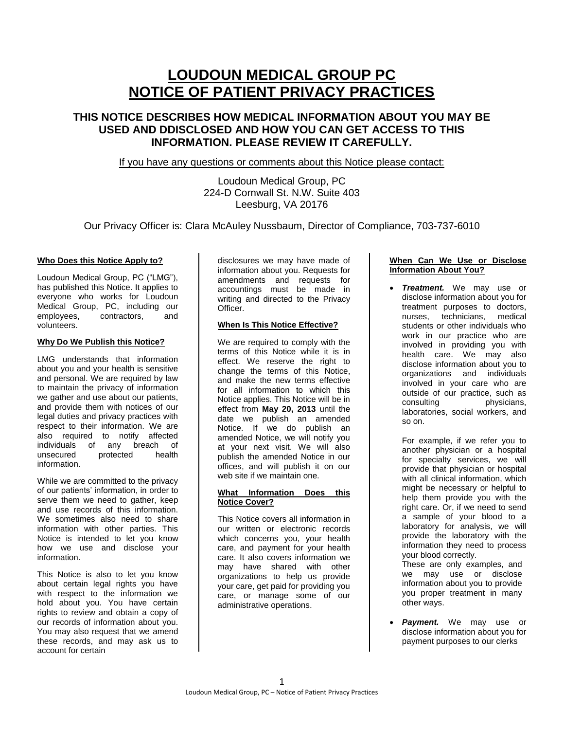# **LOUDOUN MEDICAL GROUP PC NOTICE OF PATIENT PRIVACY PRACTICES**

## **THIS NOTICE DESCRIBES HOW MEDICAL INFORMATION ABOUT YOU MAY BE USED AND DDISCLOSED AND HOW YOU CAN GET ACCESS TO THIS INFORMATION. PLEASE REVIEW IT CAREFULLY.**

If you have any questions or comments about this Notice please contact:

## Loudoun Medical Group, PC 224-D Cornwall St. N.W. Suite 403 Leesburg, VA 20176

Our Privacy Officer is: Clara McAuley Nussbaum, Director of Compliance, 703-737-6010

#### **Who Does this Notice Apply to?**

Loudoun Medical Group, PC ("LMG"), has published this Notice. It applies to everyone who works for Loudoun Medical Group, PC, including our employees, contractors, and volunteers.

#### **Why Do We Publish this Notice?**

LMG understands that information about you and your health is sensitive and personal. We are required by law to maintain the privacy of information we gather and use about our patients. and provide them with notices of our legal duties and privacy practices with respect to their information. We are also required to notify affected individuals of any breach of unsecured protected health information.

While we are committed to the privacy of our patients' information, in order to serve them we need to gather, keep and use records of this information. We sometimes also need to share information with other parties. This Notice is intended to let you know how we use and disclose your information.

This Notice is also to let you know about certain legal rights you have with respect to the information we hold about you. You have certain rights to review and obtain a copy of our records of information about you. You may also request that we amend these records, and may ask us to account for certain

disclosures we may have made of information about you. Requests for amendments and requests for accountings must be made in writing and directed to the Privacy Officer.

### **When Is This Notice Effective?**

We are required to comply with the terms of this Notice while it is in effect. We reserve the right to change the terms of this Notice, and make the new terms effective for all information to which this Notice applies. This Notice will be in effect from **May 20, 2013** until the date we publish an amended Notice. If we do publish an amended Notice, we will notify you at your next visit. We will also publish the amended Notice in our offices, and will publish it on our web site if we maintain one.

#### **What Information Does this Notice Cover?**

This Notice covers all information in our written or electronic records which concerns you, your health care, and payment for your health care. It also covers information we may have shared with other organizations to help us provide your care, get paid for providing you care, or manage some of our administrative operations.

#### **When Can We Use or Disclose Information About You?**

 *Treatment.* We may use or disclose information about you for treatment purposes to doctors, nurses, technicians, medical students or other individuals who work in our practice who are involved in providing you with health care. We may also disclose information about you to organizations and individuals involved in your care who are outside of our practice, such as consulting physicians, laboratories, social workers, and so on.

For example, if we refer you to another physician or a hospital for specialty services, we will provide that physician or hospital with all clinical information, which might be necessary or helpful to help them provide you with the right care. Or, if we need to send a sample of your blood to a laboratory for analysis, we will provide the laboratory with the information they need to process your blood correctly.

These are only examples, and we may use or disclose information about you to provide you proper treatment in many other ways.

 *Payment.* We may use or disclose information about you for payment purposes to our clerks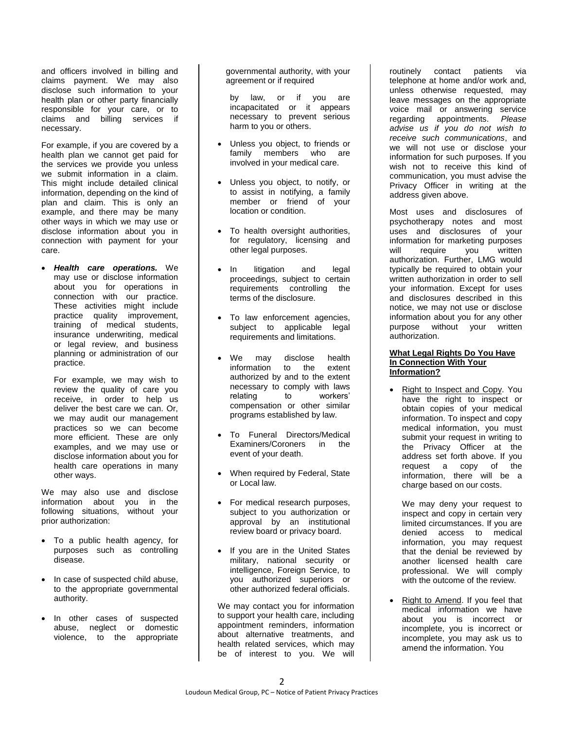and officers involved in billing and claims payment. We may also disclose such information to your health plan or other party financially responsible for your care, or to claims and billing services if necessary.

For example, if you are covered by a health plan we cannot get paid for the services we provide you unless we submit information in a claim. This might include detailed clinical information, depending on the kind of plan and claim. This is only an example, and there may be many other ways in which we may use or disclose information about you in connection with payment for your care.

 *Health care operations.* We may use or disclose information about you for operations in connection with our practice. These activities might include practice quality improvement, training of medical students, insurance underwriting, medical or legal review, and business planning or administration of our practice.

For example, we may wish to review the quality of care you receive, in order to help us deliver the best care we can. Or, we may audit our management practices so we can become more efficient. These are only examples, and we may use or disclose information about you for health care operations in many other ways.

We may also use and disclose information about you in the following situations, without your prior authorization:

- To a public health agency, for purposes such as controlling disease.
- In case of suspected child abuse, to the appropriate governmental authority.
- In other cases of suspected abuse, neglect or domestic violence, to the appropriate

governmental authority, with your agreement or if required

by law, or if you are incapacitated or it appears necessary to prevent serious harm to you or others.

- Unless you object, to friends or family members who are involved in your medical care.
- Unless you object, to notify, or to assist in notifying, a family member or friend of your location or condition.
- To health oversight authorities, for regulatory, licensing and other legal purposes.
- In litigation and legal proceedings, subject to certain requirements controlling the terms of the disclosure.
- To law enforcement agencies, subject to applicable legal requirements and limitations.
- We may disclose health information to the extent authorized by and to the extent necessary to comply with laws relating to workers' compensation or other similar programs established by law.
- To Funeral Directors/Medical Examiners/Coroners in the event of your death.
- When required by Federal, State or Local law.
- For medical research purposes, subject to you authorization or approval by an institutional review board or privacy board.
- If you are in the United States military, national security or intelligence, Foreign Service, to you authorized superiors or other authorized federal officials.

We may contact you for information to support your health care, including appointment reminders, information about alternative treatments, and health related services, which may be of interest to you. We will

routinely contact patients via telephone at home and/or work and, unless otherwise requested, may leave messages on the appropriate voice mail or answering service regarding appointments. *Please advise us if you do not wish to receive such communications*, and we will not use or disclose your information for such purposes. If you wish not to receive this kind of communication, you must advise the Privacy Officer in writing at the address given above.

Most uses and disclosures of psychotherapy notes and most uses and disclosures of your information for marketing purposes will require you written authorization. Further, LMG would typically be required to obtain your written authorization in order to sell your information. Except for uses and disclosures described in this notice, we may not use or disclose information about you for any other purpose without your written authorization.

#### **What Legal Rights Do You Have In Connection With Your Information?**

 Right to Inspect and Copy. You have the right to inspect or obtain copies of your medical information. To inspect and copy medical information, you must submit your request in writing to the Privacy Officer at the address set forth above. If you request a copy of the information, there will be a charge based on our costs.

We may deny your request to inspect and copy in certain very limited circumstances. If you are denied access to medical information, you may request that the denial be reviewed by another licensed health care professional. We will comply with the outcome of the review.

 Right to Amend. If you feel that medical information we have about you is incorrect or incomplete, you is incorrect or incomplete, you may ask us to amend the information. You